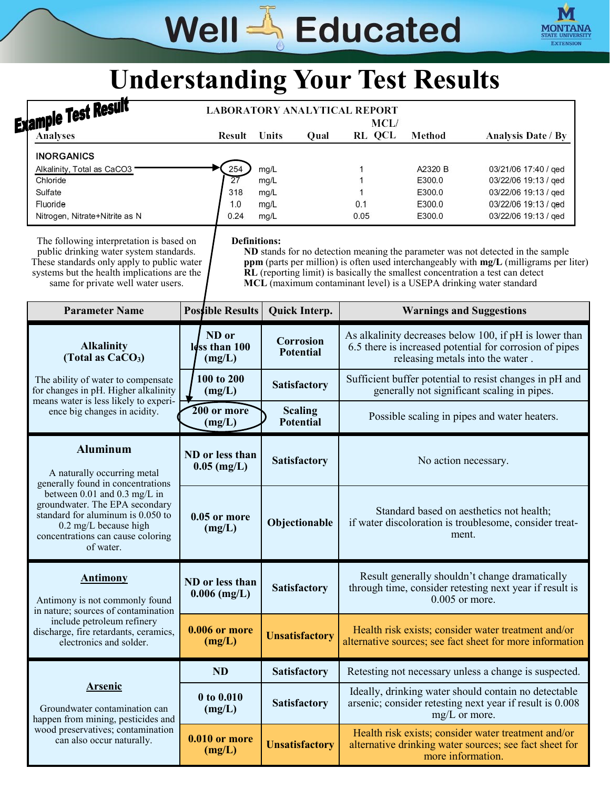## Well & Educated



## **Understanding Your Test Results**

| <b>Example Test Result</b>                                                                                                                                                                                             |                                   | <b>LABORATORY ANALYTICAL REPORT</b>                                                                                                                  |                            |                                                 |                                                                                                                                                                           |
|------------------------------------------------------------------------------------------------------------------------------------------------------------------------------------------------------------------------|-----------------------------------|------------------------------------------------------------------------------------------------------------------------------------------------------|----------------------------|-------------------------------------------------|---------------------------------------------------------------------------------------------------------------------------------------------------------------------------|
| <b>Analyses</b>                                                                                                                                                                                                        | Result                            | Units<br>Qual                                                                                                                                        | MCL/<br>RL QCL             | Method                                          | <b>Analysis Date / By</b>                                                                                                                                                 |
| <b>INORGANICS</b><br>Alkalinity, Total as CaCO3<br>Chloride<br>Sulfate<br>Fluoride<br>Nitrogen, Nitrate+Nitrite as N                                                                                                   | 254<br>27<br>318<br>1.0<br>0.24   | mg/L<br>mg/L<br>mg/L<br>mg/L<br>mg/L                                                                                                                 | 1<br>1<br>1<br>0.1<br>0.05 | A2320 B<br>E300.0<br>E300.0<br>E300.0<br>E300.0 | 03/21/06 17:40 / ged<br>03/22/06 19:13 / ged<br>03/22/06 19:13 / ged<br>03/22/06 19:13 / ged<br>03/22/06 19:13 / ged                                                      |
| The following interpretation is based on<br>public drinking water system standards.<br>These standards only apply to public water<br>systems but the health implications are the<br>same for private well water users. | <b>Definitions:</b>               | RL (reporting limit) is basically the smallest concentration a test can detect<br>MCL (maximum contaminant level) is a USEPA drinking water standard |                            |                                                 | ND stands for no detection meaning the parameter was not detected in the sample<br>ppm (parts per million) is often used interchangeably with mg/L (milligrams per liter) |
| <b>Parameter Name</b>                                                                                                                                                                                                  | <b>Possible Results</b>           | <b>Quick Interp.</b>                                                                                                                                 |                            | <b>Warnings and Suggestions</b>                 |                                                                                                                                                                           |
| <b>Alkalinity</b><br>(Total as $CaCO3$ )                                                                                                                                                                               | ND or<br>Idss than 100<br>(mg/L)  | <b>Corrosion</b><br><b>Potential</b>                                                                                                                 |                            | releasing metals into the water.                | As alkalinity decreases below 100, if pH is lower than<br>6.5 there is increased potential for corrosion of pipes                                                         |
| The ability of water to compensate<br>for changes in pH. Higher alkalinity<br>means water is less likely to experi-                                                                                                    | 100 to 200<br>(mg/L)              | Satisfactory                                                                                                                                         |                            |                                                 | Sufficient buffer potential to resist changes in pH and<br>generally not significant scaling in pipes.                                                                    |
| ence big changes in acidity.                                                                                                                                                                                           | 200 or more<br>(mg/L)             | <b>Scaling</b><br><b>Potential</b>                                                                                                                   |                            |                                                 | Possible scaling in pipes and water heaters.                                                                                                                              |
| <b>Aluminum</b><br>A naturally occurring metal<br>generally found in concentrations                                                                                                                                    | ND or less than<br>$0.05$ (mg/L)  | <b>Satisfactory</b>                                                                                                                                  |                            | No action necessary.                            |                                                                                                                                                                           |
| between 0.01 and 0.3 mg/L in<br>groundwater. The EPA secondary<br>standard for aluminum is 0.050 to<br>0.2 mg/L because high<br>concentrations can cause coloring<br>of water.                                         | $0.05$ or more<br>(mg/L)          | Objectionable                                                                                                                                        |                            | ment.                                           | Standard based on aesthetics not health;<br>if water discoloration is troublesome, consider treat-                                                                        |
| <b>Antimony</b><br>Antimony is not commonly found<br>in nature; sources of contamination<br>include petroleum refinery<br>discharge, fire retardants, ceramics,<br>electronics and solder.                             | ND or less than<br>$0.006$ (mg/L) | <b>Satisfactory</b>                                                                                                                                  |                            | $0.005$ or more.                                | Result generally shouldn't change dramatically<br>through time, consider retesting next year if result is                                                                 |
|                                                                                                                                                                                                                        | <b>0.006 or more</b><br>(mg/L)    | <b>Unsatisfactory</b>                                                                                                                                |                            |                                                 | Health risk exists; consider water treatment and/or<br>alternative sources; see fact sheet for more information                                                           |
|                                                                                                                                                                                                                        | <b>ND</b>                         | <b>Satisfactory</b>                                                                                                                                  |                            |                                                 | Retesting not necessary unless a change is suspected.                                                                                                                     |
| <b>Arsenic</b>                                                                                                                                                                                                         | 0 to 0.010                        |                                                                                                                                                      |                            |                                                 | Ideally, drinking water should contain no detectable                                                                                                                      |

**(mg/L) Satisfactory**

**(mg/L) Unsatisfactory**

**0.010 or more**

arsenic; consider retesting next year if result is 0.008 mg/L or more.

Health risk exists; consider water treatment and/or alternative drinking water sources; see fact sheet for more information.

Groundwater contamination can happen from mining, pesticides and wood preservatives; contamination can also occur naturally.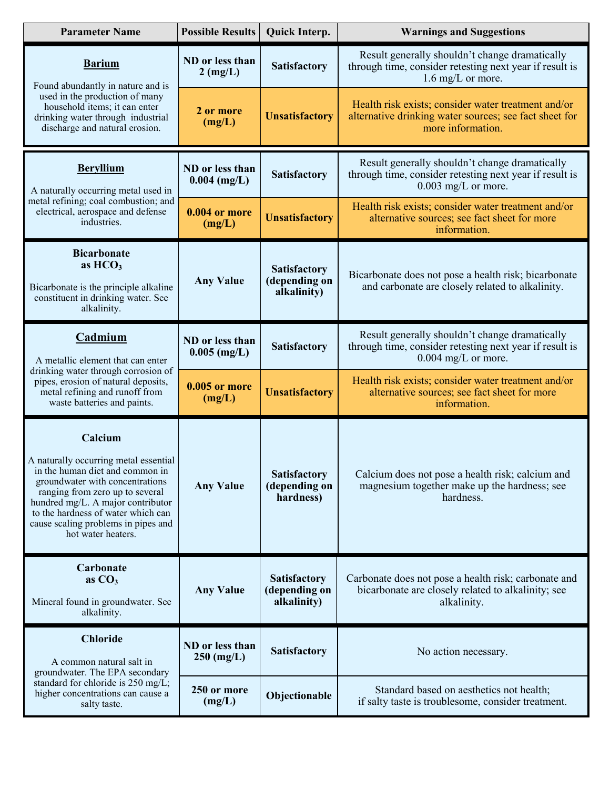| <b>Parameter Name</b>                                                                                                                                                                                                                                                                             | <b>Possible Results</b>               | Quick Interp.                                       | <b>Warnings and Suggestions</b>                                                                                                    |  |
|---------------------------------------------------------------------------------------------------------------------------------------------------------------------------------------------------------------------------------------------------------------------------------------------------|---------------------------------------|-----------------------------------------------------|------------------------------------------------------------------------------------------------------------------------------------|--|
| <b>Barium</b><br>Found abundantly in nature and is                                                                                                                                                                                                                                                | ND or less than<br>$2 \text{ (mg/L)}$ | <b>Satisfactory</b>                                 | Result generally shouldn't change dramatically<br>through time, consider retesting next year if result is<br>1.6 mg/L or more.     |  |
| used in the production of many<br>household items; it can enter<br>drinking water through industrial<br>discharge and natural erosion.                                                                                                                                                            | 2 or more<br>(mg/L)                   | <b>Unsatisfactory</b>                               | Health risk exists; consider water treatment and/or<br>alternative drinking water sources; see fact sheet for<br>more information. |  |
| <b>Beryllium</b><br>A naturally occurring metal used in<br>metal refining; coal combustion; and<br>electrical, aerospace and defense<br>industries.                                                                                                                                               | ND or less than<br>$0.004$ (mg/L)     | <b>Satisfactory</b>                                 | Result generally shouldn't change dramatically<br>through time, consider retesting next year if result is<br>$0.003$ mg/L or more. |  |
|                                                                                                                                                                                                                                                                                                   | <b>0.004 or more</b><br>(mg/L)        | <b>Unsatisfactory</b>                               | Health risk exists; consider water treatment and/or<br>alternative sources; see fact sheet for more<br>information.                |  |
| <b>Bicarbonate</b><br>as $HCO3$<br>Bicarbonate is the principle alkaline<br>constituent in drinking water. See<br>alkalinity.                                                                                                                                                                     | <b>Any Value</b>                      | <b>Satisfactory</b><br>(depending on<br>alkalinity) | Bicarbonate does not pose a health risk; bicarbonate<br>and carbonate are closely related to alkalinity.                           |  |
| Cadmium<br>A metallic element that can enter<br>drinking water through corrosion of<br>pipes, erosion of natural deposits,<br>metal refining and runoff from<br>waste batteries and paints.                                                                                                       | ND or less than<br>$0.005$ (mg/L)     | Satisfactory                                        | Result generally shouldn't change dramatically<br>through time, consider retesting next year if result is<br>$0.004$ mg/L or more. |  |
|                                                                                                                                                                                                                                                                                                   | <b>0.005 or more</b><br>(mg/L)        | <b>Unsatisfactory</b>                               | Health risk exists; consider water treatment and/or<br>alternative sources; see fact sheet for more<br>information.                |  |
| Calcium<br>A naturally occurring metal essential<br>in the human diet and common in<br>groundwater with concentrations<br>ranging from zero up to several<br>hundred mg/L. A major contributor<br>to the hardness of water which can<br>cause scaling problems in pipes and<br>hot water heaters. | <b>Any Value</b>                      | <b>Satisfactory</b><br>(depending on<br>hardness)   | Calcium does not pose a health risk; calcium and<br>magnesium together make up the hardness; see<br>hardness.                      |  |
| Carbonate<br>as $CO3$<br>Mineral found in groundwater. See<br>alkalinity.                                                                                                                                                                                                                         | <b>Any Value</b>                      | <b>Satisfactory</b><br>(depending on<br>alkalinity) | Carbonate does not pose a health risk; carbonate and<br>bicarbonate are closely related to alkalinity; see<br>alkalinity.          |  |
| <b>Chloride</b><br>A common natural salt in<br>groundwater. The EPA secondary<br>standard for chloride is 250 mg/L;<br>higher concentrations can cause a<br>salty taste.                                                                                                                          | ND or less than<br>$250 \ (mg/L)$     | Satisfactory                                        | No action necessary.                                                                                                               |  |
|                                                                                                                                                                                                                                                                                                   | 250 or more<br>(mg/L)                 | Objectionable                                       | Standard based on aesthetics not health;<br>if salty taste is troublesome, consider treatment.                                     |  |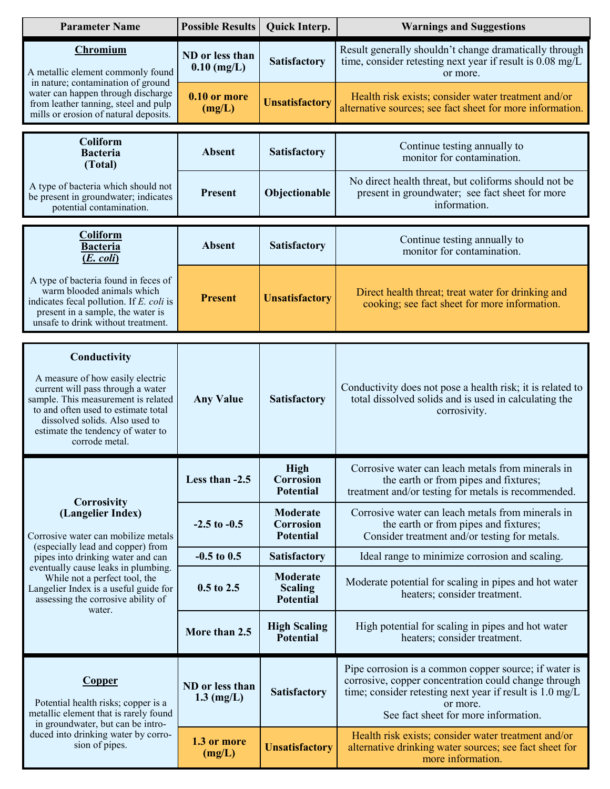| <b>Parameter Name</b>                                                                                                                                                                                                                                        | <b>Possible Results</b>          | Quick Interp.                                    | <b>Warnings and Suggestions</b>                                                                                                                                                                                               |  |
|--------------------------------------------------------------------------------------------------------------------------------------------------------------------------------------------------------------------------------------------------------------|----------------------------------|--------------------------------------------------|-------------------------------------------------------------------------------------------------------------------------------------------------------------------------------------------------------------------------------|--|
| Chromium<br>A metallic element commonly found<br>in nature; contamination of ground<br>water can happen through discharge<br>from leather tanning, steel and pulp<br>mills or erosion of natural deposits.                                                   | ND or less than<br>$0.10$ (mg/L) | <b>Satisfactory</b>                              | Result generally shouldn't change dramatically through<br>time, consider retesting next year if result is 0.08 mg/L<br>or more.                                                                                               |  |
|                                                                                                                                                                                                                                                              | 0.10 or more<br>(mg/L)           | <b>Unsatisfactory</b>                            | Health risk exists; consider water treatment and/or<br>alternative sources; see fact sheet for more information.                                                                                                              |  |
| <b>Coliform</b><br><b>Bacteria</b><br>(Total)                                                                                                                                                                                                                | <b>Absent</b>                    | Satisfactory                                     | Continue testing annually to<br>monitor for contamination.                                                                                                                                                                    |  |
| A type of bacteria which should not<br>be present in groundwater; indicates<br>potential contamination.                                                                                                                                                      | <b>Present</b>                   | Objectionable                                    | No direct health threat, but coliforms should not be<br>present in groundwater; see fact sheet for more<br>information.                                                                                                       |  |
| Coliform<br><b>Bacteria</b><br>$(E. \text{ coli})$                                                                                                                                                                                                           | <b>Absent</b>                    | Satisfactory                                     | Continue testing annually to<br>monitor for contamination.                                                                                                                                                                    |  |
| A type of bacteria found in feces of<br>warm blooded animals which<br>indicates fecal pollution. If E. coli is<br>present in a sample, the water is<br>unsafe to drink without treatment.                                                                    | <b>Present</b>                   | <b>Unsatisfactory</b>                            | Direct health threat; treat water for drinking and<br>cooking; see fact sheet for more information.                                                                                                                           |  |
| Conductivity<br>A measure of how easily electric<br>current will pass through a water<br>sample. This measurement is related<br>to and often used to estimate total<br>dissolved solids. Also used to<br>estimate the tendency of water to<br>corrode metal. | <b>Any Value</b>                 | <b>Satisfactory</b>                              | Conductivity does not pose a health risk; it is related to<br>total dissolved solids and is used in calculating the<br>corrosivity.                                                                                           |  |
| <b>Corrosivity</b><br>(Langelier Index)<br>Corrosive water can mobilize metals                                                                                                                                                                               | Less than -2.5                   | <b>High</b><br>Corrosion<br><b>Potential</b>     | Corrosive water can leach metals from minerals in<br>the earth or from pipes and fixtures;<br>treatment and/or testing for metals is recommended.                                                                             |  |
|                                                                                                                                                                                                                                                              | $-2.5$ to $-0.5$                 | Moderate<br><b>Corrosion</b><br><b>Potential</b> | Corrosive water can leach metals from minerals in<br>the earth or from pipes and fixtures;<br>Consider treatment and/or testing for metals.                                                                                   |  |
| (especially lead and copper) from<br>pipes into drinking water and can                                                                                                                                                                                       | $-0.5$ to $0.5$                  | <b>Satisfactory</b>                              | Ideal range to minimize corrosion and scaling.                                                                                                                                                                                |  |
| eventually cause leaks in plumbing.<br>While not a perfect tool, the<br>Langelier Index is a useful guide for<br>assessing the corrosive ability of<br>water.                                                                                                | $0.5$ to $2.5$                   | Moderate<br><b>Scaling</b><br><b>Potential</b>   | Moderate potential for scaling in pipes and hot water<br>heaters; consider treatment.                                                                                                                                         |  |
|                                                                                                                                                                                                                                                              | More than 2.5                    | <b>High Scaling</b><br>Potential                 | High potential for scaling in pipes and hot water<br>heaters; consider treatment.                                                                                                                                             |  |
| <b>Copper</b><br>Potential health risks; copper is a<br>metallic element that is rarely found<br>in groundwater, but can be intro-<br>duced into drinking water by corro-<br>sion of pipes.                                                                  | ND or less than<br>$1.3$ (mg/L)  | <b>Satisfactory</b>                              | Pipe corrosion is a common copper source; if water is<br>corrosive, copper concentration could change through<br>time; consider retesting next year if result is 1.0 mg/L<br>or more.<br>See fact sheet for more information. |  |
|                                                                                                                                                                                                                                                              | 1.3 or more<br>(mg/L)            | <b>Unsatisfactory</b>                            | Health risk exists; consider water treatment and/or<br>alternative drinking water sources; see fact sheet for<br>more information.                                                                                            |  |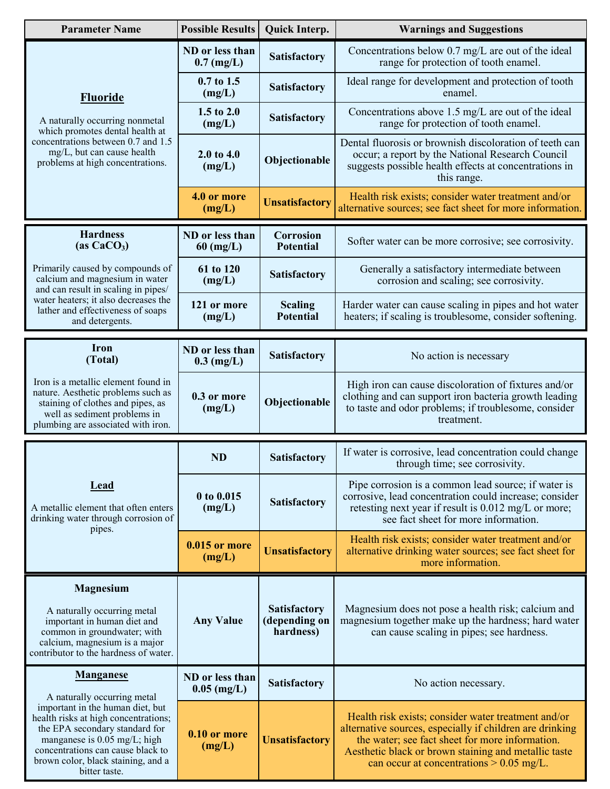| <b>Parameter Name</b>                                                                                                                                                                                                                                                                     | <b>Possible Results</b>           | Quick Interp.                                     | <b>Warnings and Suggestions</b>                                                                                                                                                                                                                                          |  |
|-------------------------------------------------------------------------------------------------------------------------------------------------------------------------------------------------------------------------------------------------------------------------------------------|-----------------------------------|---------------------------------------------------|--------------------------------------------------------------------------------------------------------------------------------------------------------------------------------------------------------------------------------------------------------------------------|--|
| <b>Fluoride</b><br>A naturally occurring nonmetal<br>which promotes dental health at<br>concentrations between 0.7 and 1.5<br>mg/L, but can cause health<br>problems at high concentrations.                                                                                              | ND or less than<br>$0.7$ (mg/L)   | Satisfactory                                      | Concentrations below 0.7 mg/L are out of the ideal<br>range for protection of tooth enamel.                                                                                                                                                                              |  |
|                                                                                                                                                                                                                                                                                           | $0.7$ to 1.5<br>(mg/L)            | Satisfactory                                      | Ideal range for development and protection of tooth<br>enamel.                                                                                                                                                                                                           |  |
|                                                                                                                                                                                                                                                                                           | 1.5 to 2.0<br>(mg/L)              | <b>Satisfactory</b>                               | Concentrations above 1.5 mg/L are out of the ideal<br>range for protection of tooth enamel.                                                                                                                                                                              |  |
|                                                                                                                                                                                                                                                                                           | 2.0 to 4.0<br>(mg/L)              | Objectionable                                     | Dental fluorosis or brownish discoloration of teeth can<br>occur; a report by the National Research Council<br>suggests possible health effects at concentrations in<br>this range.                                                                                      |  |
|                                                                                                                                                                                                                                                                                           | 4.0 or more<br>(mg/L)             | <b>Unsatisfactory</b>                             | Health risk exists; consider water treatment and/or<br>alternative sources; see fact sheet for more information.                                                                                                                                                         |  |
| <b>Hardness</b><br>(as $CaCO3$ )                                                                                                                                                                                                                                                          | ND or less than<br>$60 \ (mg/L)$  | <b>Corrosion</b><br><b>Potential</b>              | Softer water can be more corrosive; see corrosivity.                                                                                                                                                                                                                     |  |
| Primarily caused by compounds of<br>calcium and magnesium in water<br>and can result in scaling in pipes/                                                                                                                                                                                 | 61 to 120<br>(mg/L)               | <b>Satisfactory</b>                               | Generally a satisfactory intermediate between<br>corrosion and scaling; see corrosivity.                                                                                                                                                                                 |  |
| water heaters; it also decreases the<br>lather and effectiveness of soaps<br>and detergents.                                                                                                                                                                                              | 121 or more<br>(mg/L)             | <b>Scaling</b><br><b>Potential</b>                | Harder water can cause scaling in pipes and hot water<br>heaters; if scaling is troublesome, consider softening.                                                                                                                                                         |  |
| <b>Iron</b><br>(Total)                                                                                                                                                                                                                                                                    | ND or less than<br>$0.3 \ (mg/L)$ | Satisfactory                                      | No action is necessary                                                                                                                                                                                                                                                   |  |
| Iron is a metallic element found in<br>nature. Aesthetic problems such as<br>staining of clothes and pipes, as<br>well as sediment problems in<br>plumbing are associated with iron.                                                                                                      | 0.3 or more<br>(mg/L)             | Objectionable                                     | High iron can cause discoloration of fixtures and/or<br>clothing and can support iron bacteria growth leading<br>to taste and odor problems; if troublesome, consider<br>treatment.                                                                                      |  |
|                                                                                                                                                                                                                                                                                           |                                   |                                                   | If water is corrosive, lead concentration could change                                                                                                                                                                                                                   |  |
| <b>Lead</b><br>A metallic element that often enters<br>drinking water through corrosion of<br>pipes.                                                                                                                                                                                      | <b>ND</b>                         | <b>Satisfactory</b>                               | through time; see corrosivity.                                                                                                                                                                                                                                           |  |
|                                                                                                                                                                                                                                                                                           | 0 to 0.015<br>(mg/L)              | <b>Satisfactory</b>                               | Pipe corrosion is a common lead source; if water is<br>corrosive, lead concentration could increase; consider<br>retesting next year if result is 0.012 mg/L or more;<br>see fact sheet for more information.                                                            |  |
|                                                                                                                                                                                                                                                                                           | 0.015 or more<br>(mg/L)           | <b>Unsatisfactory</b>                             | Health risk exists; consider water treatment and/or<br>alternative drinking water sources; see fact sheet for<br>more information.                                                                                                                                       |  |
| <b>Magnesium</b><br>A naturally occurring metal<br>important in human diet and<br>common in groundwater; with<br>calcium, magnesium is a major<br>contributor to the hardness of water.                                                                                                   | <b>Any Value</b>                  | <b>Satisfactory</b><br>(depending on<br>hardness) | Magnesium does not pose a health risk; calcium and<br>magnesium together make up the hardness; hard water<br>can cause scaling in pipes; see hardness.                                                                                                                   |  |
| <b>Manganese</b><br>A naturally occurring metal<br>important in the human diet, but<br>health risks at high concentrations;<br>the EPA secondary standard for<br>manganese is 0.05 mg/L; high<br>concentrations can cause black to<br>brown color, black staining, and a<br>bitter taste. | ND or less than<br>$0.05$ (mg/L)  | <b>Satisfactory</b>                               | No action necessary.                                                                                                                                                                                                                                                     |  |
|                                                                                                                                                                                                                                                                                           | 0.10 or more<br>(mg/L)            | <b>Unsatisfactory</b>                             | Health risk exists; consider water treatment and/or<br>alternative sources, especially if children are drinking<br>the water; see fact sheet for more information.<br>Aesthetic black or brown staining and metallic taste<br>can occur at concentrations $> 0.05$ mg/L. |  |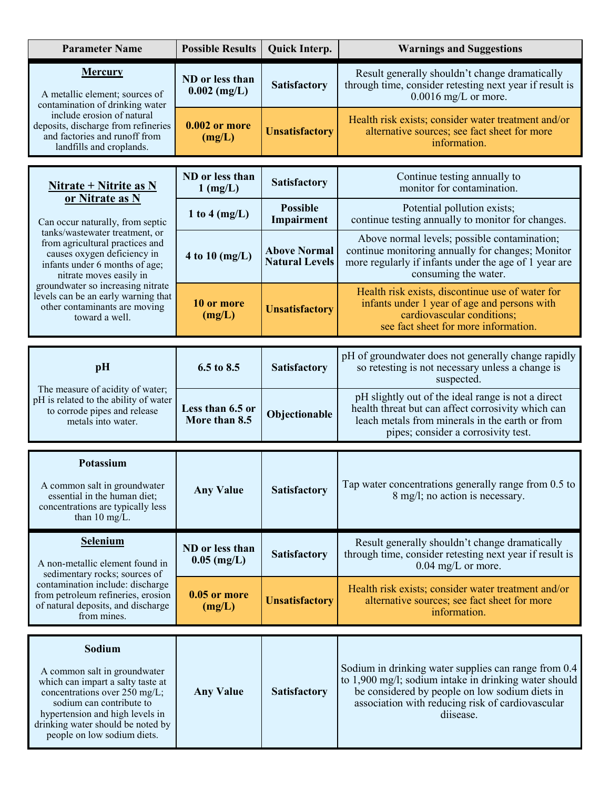| <b>Parameter Name</b>                                                                                                                                                                                                                                                                                                                                                                | <b>Possible Results</b>           | Quick Interp.                                | <b>Warnings and Suggestions</b>                                                                                                                                                                                                  |  |
|--------------------------------------------------------------------------------------------------------------------------------------------------------------------------------------------------------------------------------------------------------------------------------------------------------------------------------------------------------------------------------------|-----------------------------------|----------------------------------------------|----------------------------------------------------------------------------------------------------------------------------------------------------------------------------------------------------------------------------------|--|
| <b>Mercury</b><br>A metallic element; sources of<br>contamination of drinking water<br>include erosion of natural<br>deposits, discharge from refineries<br>and factories and runoff from<br>landfills and croplands.                                                                                                                                                                | ND or less than<br>$0.002$ (mg/L) | <b>Satisfactory</b>                          | Result generally shouldn't change dramatically<br>through time, consider retesting next year if result is<br>$0.0016$ mg/L or more.                                                                                              |  |
|                                                                                                                                                                                                                                                                                                                                                                                      | $0.002$ or more<br>(mg/L)         | <b>Unsatisfactory</b>                        | Health risk exists; consider water treatment and/or<br>alternative sources; see fact sheet for more<br>information.                                                                                                              |  |
| <u>Nitrate + Nitrite as N</u><br>or Nitrate as N<br>Can occur naturally, from septic<br>tanks/wastewater treatment, or<br>from agricultural practices and<br>causes oxygen deficiency in<br>infants under 6 months of age;<br>nitrate moves easily in<br>groundwater so increasing nitrate<br>levels can be an early warning that<br>other contaminants are moving<br>toward a well. | ND or less than<br>$1$ (mg/L)     | <b>Satisfactory</b>                          | Continue testing annually to<br>monitor for contamination.                                                                                                                                                                       |  |
|                                                                                                                                                                                                                                                                                                                                                                                      | 1 to 4 $(mg/L)$                   | <b>Possible</b><br>Impairment                | Potential pollution exists;<br>continue testing annually to monitor for changes.                                                                                                                                                 |  |
|                                                                                                                                                                                                                                                                                                                                                                                      | 4 to 10 $(mg/L)$                  | <b>Above Normal</b><br><b>Natural Levels</b> | Above normal levels; possible contamination;<br>continue monitoring annually for changes; Monitor<br>more regularly if infants under the age of 1 year are<br>consuming the water.                                               |  |
|                                                                                                                                                                                                                                                                                                                                                                                      | 10 or more<br>(mg/L)              | <b>Unsatisfactory</b>                        | Health risk exists, discontinue use of water for<br>infants under 1 year of age and persons with<br>cardiovascular conditions;<br>see fact sheet for more information.                                                           |  |
| pH<br>The measure of acidity of water;<br>pH is related to the ability of water<br>to corrode pipes and release<br>metals into water.                                                                                                                                                                                                                                                | 6.5 to 8.5                        | <b>Satisfactory</b>                          | pH of groundwater does not generally change rapidly<br>so retesting is not necessary unless a change is<br>suspected.                                                                                                            |  |
|                                                                                                                                                                                                                                                                                                                                                                                      | Less than 6.5 or<br>More than 8.5 | Objectionable                                | pH slightly out of the ideal range is not a direct<br>health threat but can affect corrosivity which can<br>leach metals from minerals in the earth or from<br>pipes; consider a corrosivity test.                               |  |
| Potassium<br>A common salt in groundwater<br>essential in the human diet;<br>concentrations are typically less<br>than $10 \text{ mg/L}$ .                                                                                                                                                                                                                                           | <b>Any Value</b>                  | <b>Satisfactory</b>                          | Tap water concentrations generally range from 0.5 to<br>8 mg/l; no action is necessary.                                                                                                                                          |  |
| <b>Selenium</b><br>A non-metallic element found in<br>sedimentary rocks; sources of<br>contamination include: discharge<br>from petroleum refineries, erosion<br>of natural deposits, and discharge<br>from mines.                                                                                                                                                                   | ND or less than<br>$0.05$ (mg/L)  | <b>Satisfactory</b>                          | Result generally shouldn't change dramatically<br>through time, consider retesting next year if result is<br>$0.04$ mg/L or more.                                                                                                |  |
|                                                                                                                                                                                                                                                                                                                                                                                      | $0.05$ or more<br>(mg/L)          | <b>Unsatisfactory</b>                        | Health risk exists; consider water treatment and/or<br>alternative sources; see fact sheet for more<br>information.                                                                                                              |  |
| Sodium<br>A common salt in groundwater<br>which can impart a salty taste at<br>concentrations over 250 mg/L;<br>sodium can contribute to<br>hypertension and high levels in<br>drinking water should be noted by<br>people on low sodium diets.                                                                                                                                      | <b>Any Value</b>                  | <b>Satisfactory</b>                          | Sodium in drinking water supplies can range from 0.4<br>to 1,900 mg/l; sodium intake in drinking water should<br>be considered by people on low sodium diets in<br>association with reducing risk of cardiovascular<br>diisease. |  |